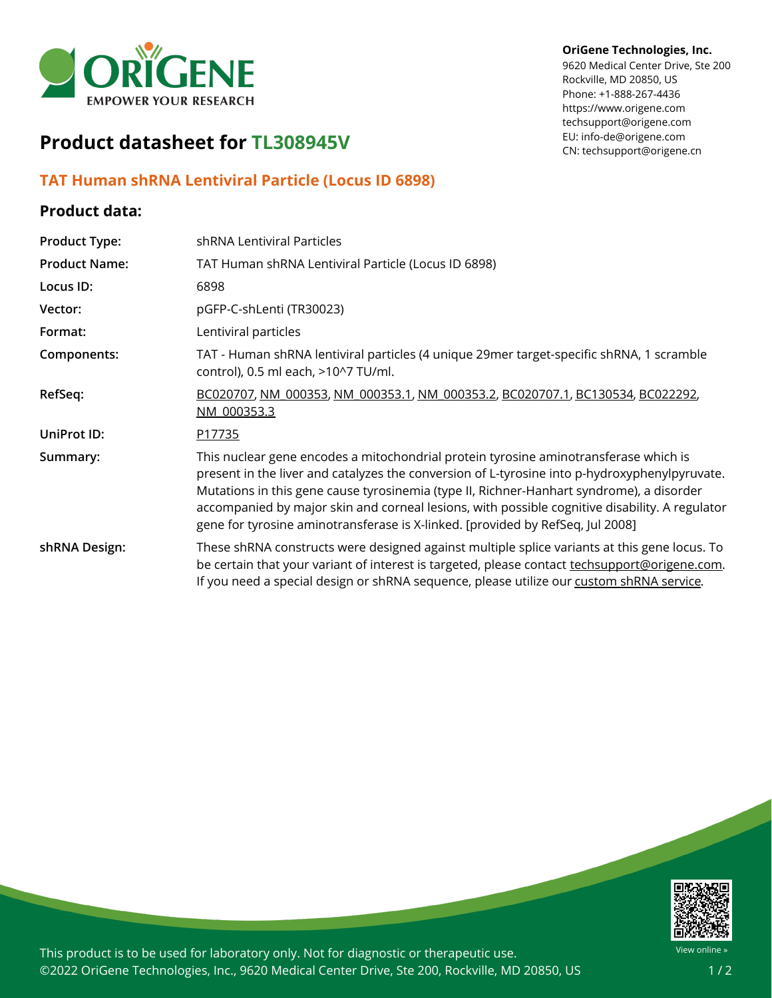

# **Product datasheet for TL308945V**

## **TAT Human shRNA Lentiviral Particle (Locus ID 6898)**

### **Product data:**

| <b>Product Type:</b> | shRNA Lentiviral Particles                                                                                                                                                                                                                                                                                                                                                                                                                                            |
|----------------------|-----------------------------------------------------------------------------------------------------------------------------------------------------------------------------------------------------------------------------------------------------------------------------------------------------------------------------------------------------------------------------------------------------------------------------------------------------------------------|
| <b>Product Name:</b> | TAT Human shRNA Lentiviral Particle (Locus ID 6898)                                                                                                                                                                                                                                                                                                                                                                                                                   |
| Locus ID:            | 6898                                                                                                                                                                                                                                                                                                                                                                                                                                                                  |
| Vector:              | pGFP-C-shLenti (TR30023)                                                                                                                                                                                                                                                                                                                                                                                                                                              |
| Format:              | Lentiviral particles                                                                                                                                                                                                                                                                                                                                                                                                                                                  |
| Components:          | TAT - Human shRNA lentiviral particles (4 unique 29mer target-specific shRNA, 1 scramble<br>control), 0.5 ml each, >10^7 TU/ml.                                                                                                                                                                                                                                                                                                                                       |
| RefSeq:              | BC020707, NM 000353, NM 000353.1, NM 000353.2, BC020707.1, BC130534, BC022292,<br>NM 000353.3                                                                                                                                                                                                                                                                                                                                                                         |
| UniProt ID:          | P17735                                                                                                                                                                                                                                                                                                                                                                                                                                                                |
| Summary:             | This nuclear gene encodes a mitochondrial protein tyrosine aminotransferase which is<br>present in the liver and catalyzes the conversion of L-tyrosine into p-hydroxyphenylpyruvate.<br>Mutations in this gene cause tyrosinemia (type II, Richner-Hanhart syndrome), a disorder<br>accompanied by major skin and corneal lesions, with possible cognitive disability. A regulator<br>gene for tyrosine aminotransferase is X-linked. [provided by RefSeq, Jul 2008] |
| shRNA Design:        | These shRNA constructs were designed against multiple splice variants at this gene locus. To<br>be certain that your variant of interest is targeted, please contact techsupport@origene.com.<br>If you need a special design or shRNA sequence, please utilize our custom shRNA service.                                                                                                                                                                             |

#### **OriGene Technologies, Inc.**

9620 Medical Center Drive, Ste 200 Rockville, MD 20850, US Phone: +1-888-267-4436 https://www.origene.com techsupport@origene.com EU: info-de@origene.com CN: techsupport@origene.cn



This product is to be used for laboratory only. Not for diagnostic or therapeutic use. ©2022 OriGene Technologies, Inc., 9620 Medical Center Drive, Ste 200, Rockville, MD 20850, US